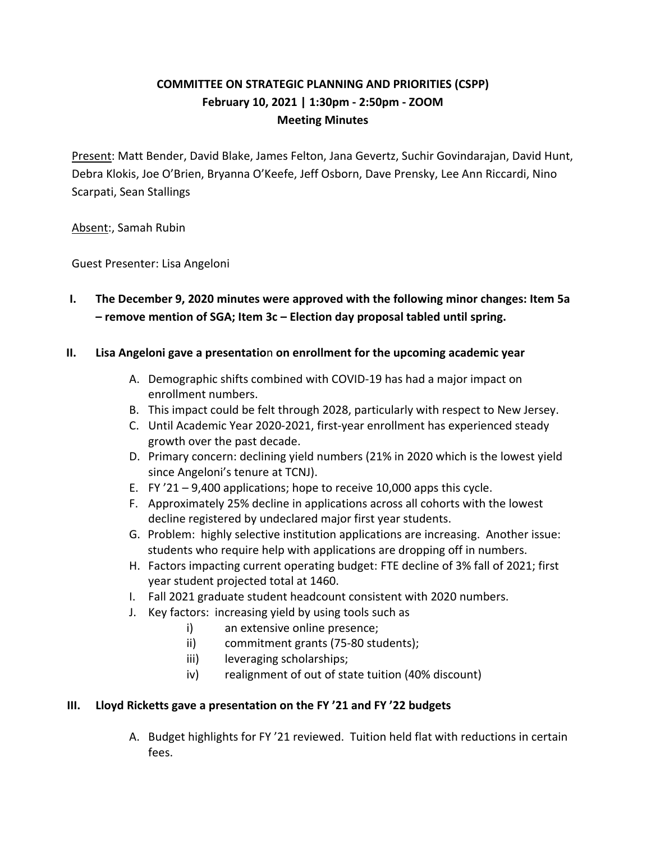# **COMMITTEE ON STRATEGIC PLANNING AND PRIORITIES (CSPP) February 10, 2021 | 1:30pm - 2:50pm - ZOOM Meeting Minutes**

Present: Matt Bender, David Blake, James Felton, Jana Gevertz, Suchir Govindarajan, David Hunt, Debra Klokis, Joe O'Brien, Bryanna O'Keefe, Jeff Osborn, Dave Prensky, Lee Ann Riccardi, Nino Scarpati, Sean Stallings

Absent:, Samah Rubin

Guest Presenter: Lisa Angeloni

**I. The December 9, 2020 minutes were approved with the following minor changes: Item 5a – remove mention of SGA; Item 3c – Election day proposal tabled until spring.**

#### **II. Lisa Angeloni gave a presentatio**n **on enrollment for the upcoming academic year**

- A. Demographic shifts combined with COVID-19 has had a major impact on enrollment numbers.
- B. This impact could be felt through 2028, particularly with respect to New Jersey.
- C. Until Academic Year 2020-2021, first-year enrollment has experienced steady growth over the past decade.
- D. Primary concern: declining yield numbers (21% in 2020 which is the lowest yield since Angeloni's tenure at TCNJ).
- E. FY '21 9,400 applications; hope to receive 10,000 apps this cycle.
- F. Approximately 25% decline in applications across all cohorts with the lowest decline registered by undeclared major first year students.
- G. Problem: highly selective institution applications are increasing. Another issue: students who require help with applications are dropping off in numbers.
- H. Factors impacting current operating budget: FTE decline of 3% fall of 2021; first year student projected total at 1460.
- I. Fall 2021 graduate student headcount consistent with 2020 numbers.
- J. Key factors: increasing yield by using tools such as
	- i) an extensive online presence;
		- ii) commitment grants (75-80 students);
		- iii) leveraging scholarships;
	- iv) realignment of out of state tuition (40% discount)

## **III. Lloyd Ricketts gave a presentation on the FY '21 and FY '22 budgets**

A. Budget highlights for FY '21 reviewed. Tuition held flat with reductions in certain fees.